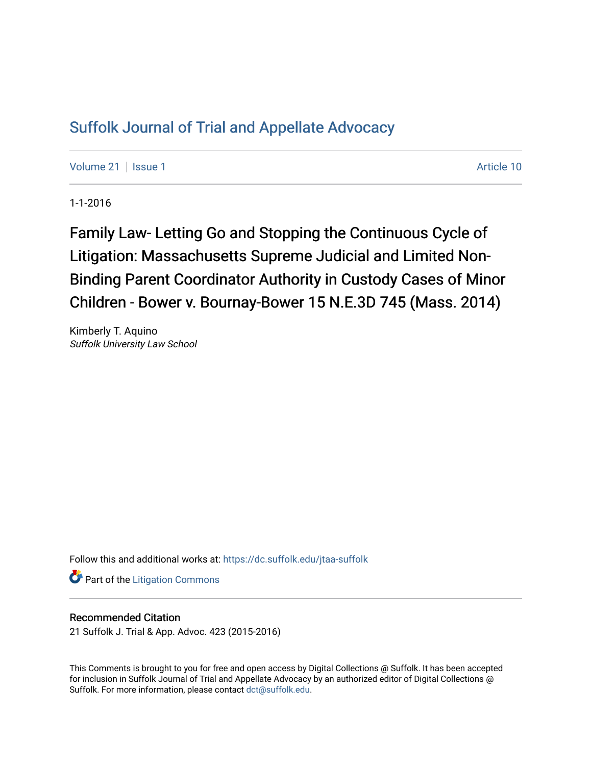# [Suffolk Journal of Trial and Appellate Advocacy](https://dc.suffolk.edu/jtaa-suffolk)

[Volume 21](https://dc.suffolk.edu/jtaa-suffolk/vol21) | [Issue 1](https://dc.suffolk.edu/jtaa-suffolk/vol21/iss1) Article 10

1-1-2016

Family Law- Letting Go and Stopping the Continuous Cycle of Litigation: Massachusetts Supreme Judicial and Limited Non-Binding Parent Coordinator Authority in Custody Cases of Minor Children - Bower v. Bournay-Bower 15 N.E.3D 745 (Mass. 2014)

Kimberly T. Aquino Suffolk University Law School

Follow this and additional works at: [https://dc.suffolk.edu/jtaa-suffolk](https://dc.suffolk.edu/jtaa-suffolk?utm_source=dc.suffolk.edu%2Fjtaa-suffolk%2Fvol21%2Fiss1%2F10&utm_medium=PDF&utm_campaign=PDFCoverPages) 

**Part of the [Litigation Commons](https://network.bepress.com/hgg/discipline/910?utm_source=dc.suffolk.edu%2Fjtaa-suffolk%2Fvol21%2Fiss1%2F10&utm_medium=PDF&utm_campaign=PDFCoverPages)** 

### Recommended Citation

21 Suffolk J. Trial & App. Advoc. 423 (2015-2016)

This Comments is brought to you for free and open access by Digital Collections @ Suffolk. It has been accepted for inclusion in Suffolk Journal of Trial and Appellate Advocacy by an authorized editor of Digital Collections @ Suffolk. For more information, please contact [dct@suffolk.edu.](mailto:dct@suffolk.edu)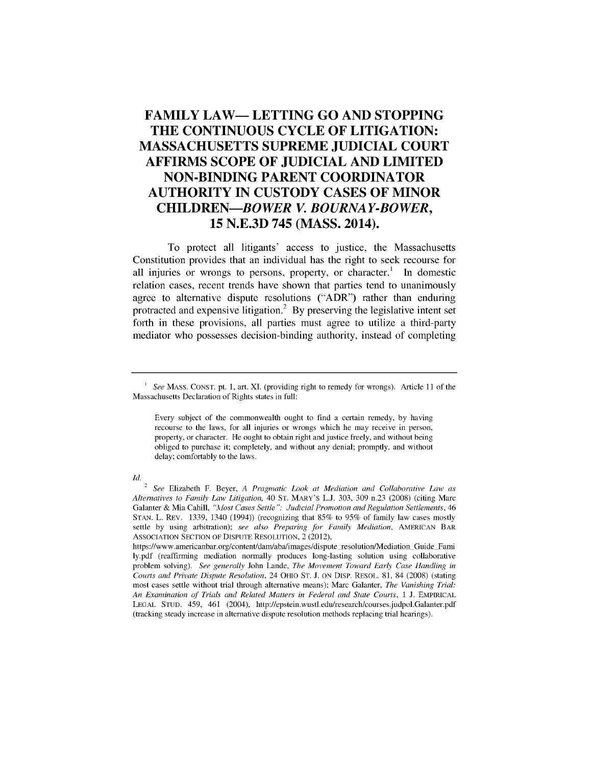## **FAMILY LAW- LETTING GO AND STOPPING THE CONTINUOUS CYCLE OF LITIGATION: MASSACHUSETTS SUPREME JUDICIAL COURT AFFIRMS SCOPE OF JUDICIAL AND LIMITED NON-BINDING PARENT COORDINATOR AUTHORITY IN CUSTODY CASES OF MINOR CHILDREN-BOWER** *V. BOURNAY-BOWER,* **15 N.E.3D 745 (MASS. 2014).**

To protect all litigants' access to justice, the Massachusetts Constitution provides that an individual has the right to seek recourse for all injuries or wrongs to persons, property, or character.<sup>1</sup> In domestic relation cases, recent trends have shown that parties tend to unanimously agree to alternative dispute resolutions ("ADR") rather than enduring protracted and expensive litigation.2 **By** preserving the legislative intent set forth in these provisions, all parties must agree to utilize a third-party mediator who possesses decision-binding authority, instead of completing

Id.

<sup>&</sup>lt;sup>1</sup> See MASS. CONST. pt. 1, art. XI. (providing right to remedy for wrongs). Article 11 of the Massachusetts Declaration of Rights states in full:

Every subject of the commonwealth ought to find a certain remedy, by having recourse to the laws, for all injuries or wrongs which he may receive in person, property, or character. He ought to obtain right and justice freely, and without being obliged to purchase it; completely, and without any denial; promptly, and without delay; comfortably to the laws.

<sup>2</sup>*See* Elizabeth F. Beyer, *A Pragmatic Look at Mediation and Collaborative Law as Alternatives to Family Law Litigation,* 40 **ST.** MARY'S L.J. 303, 309 n.23 (2008) (citing Marc Galanter & Mia Cahill, *"MAost Cases Settle* **":** *Judicial Promotion and Regulation Settlements, 46* STAN. L. REv. 1339, 1340 (1994)) (recognizing that 85% to 95% of family law cases mostly settle by using arbitration); *see also Preparing for Family Mediation,* AMERICAN BAR ASSOCIATION SECTION OF DISPUTE RESOLUTION, 2 (2012),

https ://www.americanbar.org/content/dam/aba/images/dispute resolution/Mediation Guide Fami ly.pdf (reaffirming mediation normally produces long-lasting solution using collaborative problem solving). *See generally* John Lande, *The Movement Toward Early Case Handling in Courts and Private Dispute Resolution,* 24 OHIO ST. J. ON DISP. RESOL. 81, 84 (2008) (stating most cases settle without trial through alternative means); Marc Galanter, *The Vanishing Trial: An Examination of Trials and Related Matters in Federal and State Courts,* 1 J. EMPIRICAL LEGAL STUD. 459, 461 (2004), http://epstein.wustl.edu/research/courses.judpol.Galanter.pdf (tracking steady increase in alternative dispute resolution methods replacing trial hearings).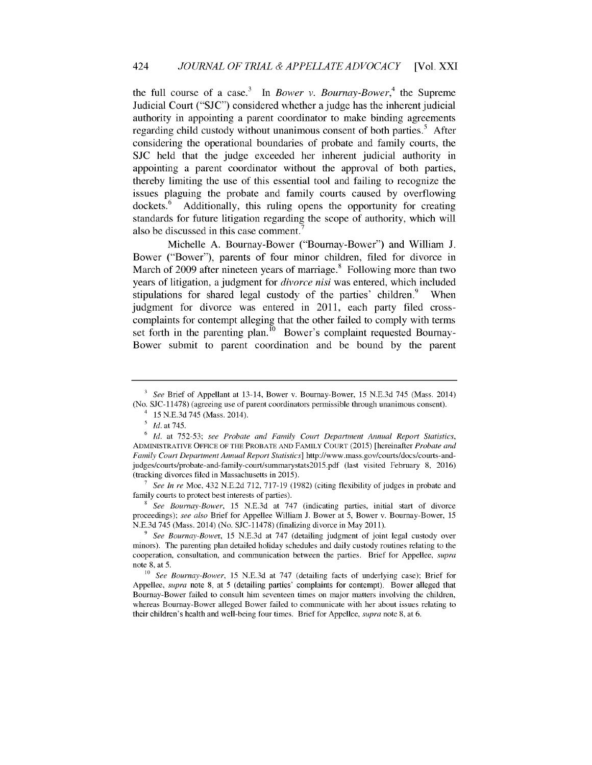the full course of a case.<sup>3</sup> In *Bower v. Bournay-Bower*,<sup>4</sup> the Supreme Judicial Court **("SJC")** considered whether a judge has the inherent judicial authority in appointing a parent coordinator to make binding agreements regarding child custody without unanimous consent of both parties.<sup>5</sup> After considering the operational boundaries of probate and family courts, the SJC held that the judge exceeded her inherent judicial authority in appointing a parent coordinator without the approval of both parties, thereby limiting the use of this essential tool and failing to recognize the issues plaguing the probate and family courts caused by overflowing dockets.<sup>6</sup> Additionally, this ruling opens the opportunity for creating standards for future litigation regarding the scope of authority, which will also be discussed in this case comment.

Michelle A. Bournay-Bower ("Boumay-Bower") and William **J.** Bower ("Bower"), parents of four minor children, filed for divorce in March of 2009 after nineteen years of marriage.<sup>8</sup> Following more than two years of litigation, a judgment for *divorce nisi* was entered, which included stipulations for shared legal custody of the parties' children. $9$  When judgment for divorce was entered in 2011, each party filed crosscomplaints for contempt alleging that the other failed to comply with terms set forth in the parenting plan.<sup>10</sup> Bower's complaint requested Bournay-Bower submit to parent coordination and be bound by the parent

*7 See In re* Moe, 432 N.E.2d 712, 717-19 (1982) (citing flexibility of judges in probate and family courts to protect best interests of parties).

**<sup>8</sup>***See Bournay-Bower,* 15 N.E.3d at 747 (indicating parties, initial start of divorce proceedings); *see also* Brief for Appellee William J. Bower at 5, Bower v. Bournay-Bower, 15 N.E.3d 745 (Mass. 2014) (No. SJC- 11478) (finalizing divorce in May 2011).

*<sup>3</sup> See* Brief of Appellant at 13-14, Bower v. Bournay-Bower, 15 N.E.3d 745 (Mass. 2014) (No. SJC- 11478) (agreeing use of parent coordinators permissible through unanimous consent).

<sup>4 15</sup> N.E.3d 745 (Mass. 2014).

*<sup>5</sup> Id.* at 745.

**<sup>6</sup>***Id.* at 752-53; *see Probate and Family Court Department Annual Report Statistics,* ADMINISTRATIVE OFFICE OF THE PROBATE AND FAMILY COURT (2015) [hereinafter *Probate and Family Court Department Annual Report Statistics]* http://www.mass.gov/courts/docs/courts-andjudges/courts/probate-and-family-court/summarystats20l5.pdf (last visited February 8, 2016) (tracking divorces filed in Massachusetts in 2015).

*<sup>9</sup>See Bournay-Bower,* 15 N.E.3d at 747 (detailing judgment of joint legal custody over minors). The parenting plan detailed holiday schedules and daily custody routines relating to the cooperation, consultation, and communication between the parties. Brief for Appellee, *supra* note 8, at 5.

**<sup>10</sup>** *See Bournay-Bower,* 15 N.E.3d at 747 (detailing facts of underlying case); Brief for Appellee, *supra* note 8, at 5 (detailing parties' complaints for contempt). Bower alleged that Bournay-Bower failed to consult him seventeen times on major matters involving the children, whereas Bournay-Bower alleged Bower failed to communicate with her about issues relating to their children's health and well-being four times. Brief for Appellee, *supra* note 8, at 6.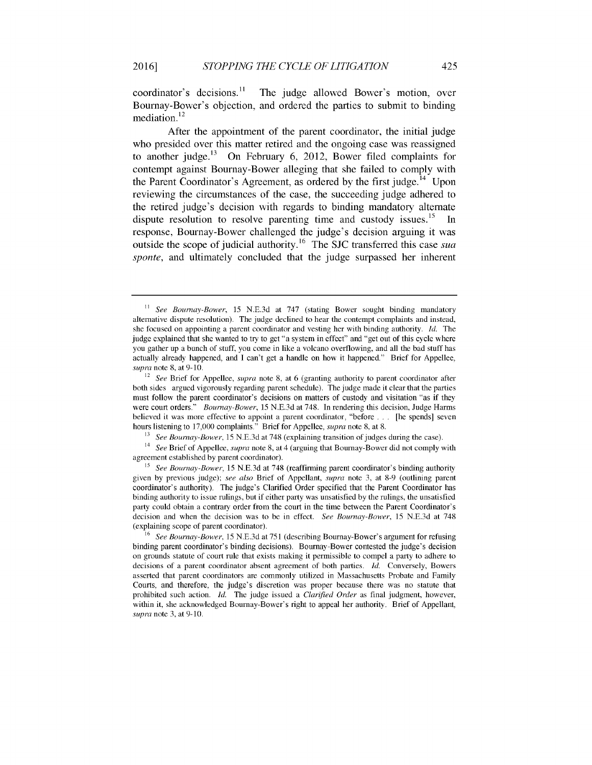$coordinates<sup>11</sup>$  The judge allowed Bower's motion, over Bournay-Bower's objection, and ordered the parties to submit to binding  $m$ ediation.<sup>12</sup>

After the appointment of the parent coordinator, the initial judge who presided over this matter retired and the ongoing case was reassigned to another judge.<sup>13</sup> On February 6, 2012, Bower filed complaints for contempt against Bournay-Bower alleging that she failed to comply with the Parent Coordinator's Agreement, as ordered by the first judge.<sup>14</sup> Upon reviewing the circumstances of the case, the succeeding judge adhered to the retired judge's decision with regards to binding mandatory alternate dispute resolution to resolve parenting time and custody issues.<sup>15</sup> response, Bournay-Bower challenged the judge's decision arguing it was outside the scope of judicial authority.<sup>16</sup> The SJC transferred this case *sua sponte,* and ultimately concluded that the judge surpassed her inherent

<sup>13</sup> See Bournay-Bower, 15 N.E.3d at 748 (explaining transition of judges during the case).

<sup>14</sup>*See* Brief of Appellee, *supra* note 8, at 4 (arguing that Bournay-Bower did not comply with agreement established by parent coordinator).

<sup>15</sup>*See Bournay-Bower,* 15 N.E.3d at 748 (reaffirming parent coordinator's binding authority given by previous judge); *see also* Brief of Appellant, *supra* note 3, at **8-9** (outlining parent coordinator's authority). The judge's Clarified Order specified that the Parent Coordinator has binding authority to issue rulings, but if either party was unsatisfied by the rulings, the unsatisfied party could obtain a contrary order from the court in the time between the Parent Coordinator's decision and when the decision was to be in effect. *See Bournay-Bower,* 15 N.E.3d at 748 (explaining scope of parent coordinator).

**<sup>11</sup>** *See Bournay-Bower,* 15 N.E.3d at 747 (stating Bower sought binding mandatory alternative dispute resolution). The judge declined to hear the contempt complaints and instead, she focused on appointing a parent coordinator and vesting her with binding authority. Id. The judge explained that she wanted to try to get "a system in effect" and "get out of this cycle where you gather up a bunch of stuff, you come in like a volcano overflowing, and all the bad stuff has actually already happened, and I can't get a handle on how it happened." Brief for Appellee, *supra* note 8, at **9-** 10.

<sup>12</sup>*See* Brief for Appellee, *supra* note 8, at 6 (granting authority to parent coordinator after both sides argued vigorously regarding parent schedule). The judge made it clear that the parties must follow the parent coordinator's decisions on matters of custody and visitation "as if they were court orders." *Bournay-Bower,* 15 N.E.3d at 748. In rendering this decision, Judge Harms believed it was more effective to appoint a parent coordinator, "before ... [he spends] seven hours listening to 17,000 complaints." Brief for Appellee, *supra* note 8, at 8.

**<sup>16</sup>***See Bournay-Bower,* 15 N.E.3d at 751 (describing Bournay-Bower's argument for refusing binding parent coordinator's binding decisions). Bournay-Bower contested the judge's decision on grounds statute of court rule that exists making it permissible to compel a party to adhere to decisions of a parent coordinator absent agreement of both parties. Id. Conversely, Bowers asserted that parent coordinators are commonly utilized in Massachusetts Probate and Family Courts, and therefore, the judge's discretion was proper because there was no statute that prohibited such action. *Id.* The judge issued a *Clarified Order* as final judgment, however, within it, she acknowledged Bournay-Bower's right to appeal her authority. Brief of Appellant, *supra* note 3, at **9-** 10.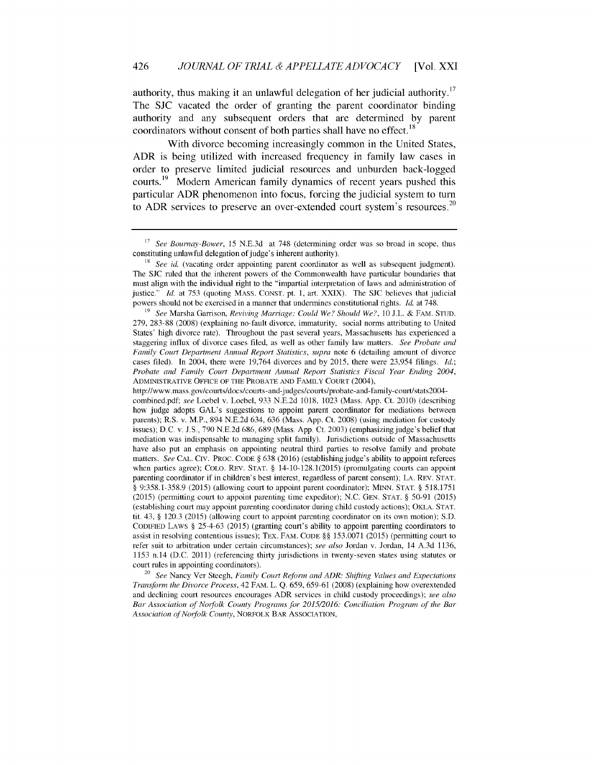authority, thus making it an unlawful delegation of her judicial authority.<sup>17</sup> The SJC vacated the order of granting the parent coordinator binding authority and any subsequent orders that are determined by parent coordinators without consent of both parties shall have no effect.<sup>18</sup>

With divorce becoming increasingly common in the United States, ADR is being utilized with increased frequency in family law cases in order to preserve limited judicial resources and unburden back-logged courts.<sup>19</sup> Modern American family dynamics of recent years pushed this particular ADR phenomenon into focus, forcing the judicial system to turn to ADR services to preserve an over-extended court system's resources.<sup>20</sup>

<sup>20</sup>*See* Nancy Ver Steegh, *Family Court Reform and ADR: Shifting Values and Expectations Transform the Divorce Process,* 42 FAM. L. Q. 659, 659-61 (2008) (explaining how overextended and declining court resources encourages ADR services in child custody proceedings); *see also Bar Association of Norfolk County Programs for 2015/2016: Conciliation Program of the Bar Association of Norfolk County,* NORFOLK BAR ASSOCIATION,

<sup>17</sup>*See Bournay-Bower,* 15 N.E.3d at 748 (determining order was so broad in scope, thus constituting unlawful delegation of judge's inherent authority).

<sup>&</sup>lt;sup>18</sup> See id. (vacating order appointing parent coordinator as well as subsequent judgment). The SJC ruled that the inherent powers of the Commonwealth have particular boundaries that must align with the individual right to the "impartial interpretation of laws and administration of justice." *Id.* at 753 (quoting MASS. CONST. pt. 1, art. XXIX). The SJC believes that judicial powers should not be exercised in a manner that undermines constitutional rights. *Id.* at 748.

*<sup>19</sup> See* Marsha Garrison, *Reviving Marriage: Could We? Should We?,* 10 J.L. & FAM. STUD. 279, 283-88 (2008) (explaining no-fault divorce, immaturity, social norms attributing to United States' high divorce rate). Throughout the past several years, Massachusetts has experienced a staggering influx of divorce cases filed, as well as other family law matters. *See Probate and Family Court Department Annual Report Statistics, supra note 6 (detailing amount of divorce* cases filed). In 2004, there were 19,764 divorces and by 2015, there were 23,954 filings. *Id.; Probate and Family Court Department Annual Report Statistics Fiscal Year Ending 2004,* ADMINISTRATIVE OFFICE OF THE PROBATE AND FAMILY COURT (2004),

http://www.mass.gov/courts/docs/courts -and-judges/courts/probate-and- family-court/stats2004 combined.pdf; *see* Loebel v. Loebel, 933 N.E.2d 1018, 1023 (Mass. App. Ct. 2010) (describing how judge adopts GAL's suggestions to appoint parent coordinator for mediations between parents); R.S. v. M.P., 894 N.E.2d 634, 636 (Mass. App. Ct. 2008) (using mediation for custody issues); D.C. v. J.S., 790 N.E.2d 686, 689 (Mass. App. Ct. 2003) (emphasizing judge's belief that mediation was indispensable to managing split family). Jurisdictions outside of Massachusetts have also put an emphasis on appointing neutral third parties to resolve family and probate matters. *See* CAL. CIV. PROC. CODE § 638 (2016) (establishing judge's ability to appoint referees when parties agree); COLO. REV. STAT. *§* 14-10-128.1(2015) (promulgating courts can appoint parenting coordinator if in children's best interest, regardless of parent consent); LA. REV. **STAT.** *§* 9:358.1-358.9 (2015) (allowing court to appoint parent coordinator); MINN. STAT. *§* 518.1751 (2015) (permitting court to appoint parenting time expeditor); N.C. GEN. STAT. *§* 50-91 (2015) (establishing court may appoint parenting coordinator during child custody actions); OKLA. **STAT.** tit. 43, *§* 120.3 (2015) (allowing court to appoint parenting coordinator on its own motion); S.D. CODIFIED LAWS *§* **25-4-63** (2015) (granting court's ability to appoint parenting coordinators to assist in resolving contentious issues); TEX. FAM. CODE *§§* 153.0071 (2015) (permitting court to refer suit to arbitration under certain circumstances); *see also* Jordan v. Jordan, 14 A.3d 1136, 1153 n.14 (D.C. 2011) (referencing thirty jurisdictions in twenty-seven states using statutes or court rules in appointing coordinators).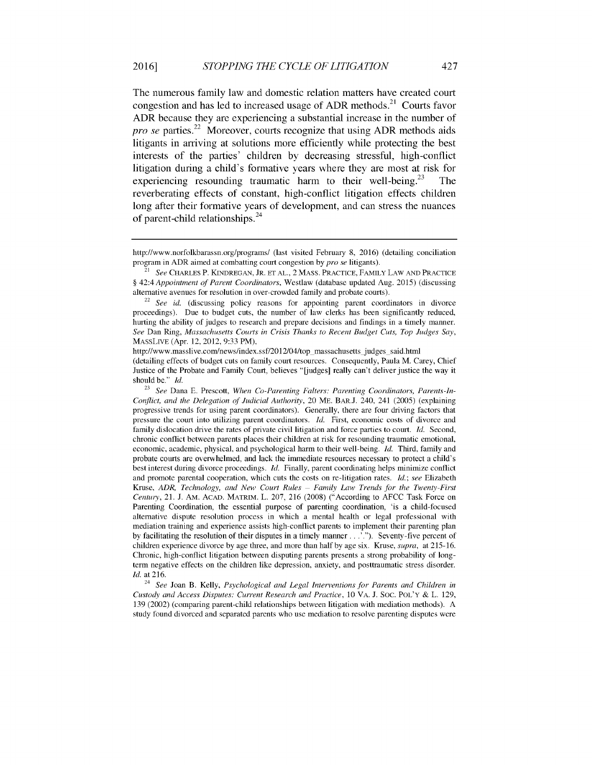The numerous family law and domestic relation matters have created court congestion and has led to increased usage of ADR methods.<sup>21</sup> Courts favor ADR because they are experiencing a substantial increase in the number of pro se parties.<sup>22</sup> Moreover, courts recognize that using ADR methods aids litigants in arriving at solutions more efficiently while protecting the best interests of the parties' children by decreasing stressful, high-conflict litigation during a child's formative years where they are most at risk for experiencing resounding traumatic harm to their well-being.<sup>23</sup> The reverberating effects of constant, high-conflict litigation effects children long after their formative years of development, and can stress the nuances of parent-child relationships. 24

<sup>24</sup>*See* Joan B. Kelly, *Psychological and Legal Interventions for Parents and Children in Custody and Access Disputes: Current* Research *and Practice,* 10 VA. J. SOC. POL'Y & L. 129, 139 (2002) (comparing parent-child relationships between litigation with mediation methods). A study found divorced and separated parents who use mediation to resolve parenting disputes were

http://www.norfolkbarassn.org/programs/ (last visited February 8, 2016) (detailing conciliation program in ADR aimed at combatting court congestion by *pro se* litigants).

<sup>21</sup> *See* CHARLES P. KINDREGAN, JR. **ET** AL., 2 MASS. PRACTICE, FAMILY LAW AND PRACTICE *§* 42:4 *Appointment of Parent Coordinators,* Westlaw (database updated Aug. 2015) (discussing alternative avenues for resolution in over-crowded family and probate courts).

<sup>22</sup>*See id.* (discussing policy reasons for appointing parent coordinators in divorce proceedings). Due to budget cuts, the number of law clerks has been significantly reduced, hurting the ability of judges to research and prepare decisions and findings in a timely manner. *See* Dan Ring, *Massachusetts Courts in Crisis Thanks to Recent Budget Cuts, Top Judges Say,* MASSLIVE (Apr. 12, 2012, 9:33 PM),

http://www.masslive.com/news/index.ssf/2012/04/top\_massachusetts\_judges\_said.html (detailing effects of budget cuts on family court resources. Consequently, Paula M. Carey, Chief Justice of the Probate and Family Court, believes "[judges] really can't deliver justice the way it should be." *Id.* 

**<sup>23</sup>** *See* Dana **E.** Prescott, *When Co-Parenting Falters: Parenting Coordinators, Parents-In-Conflict, and the Delegation of Judicial Authority,* 20 ME. BAR.J. 240, 241 (2005) (explaining progressive trends for using parent coordinators). Generally, there are four driving factors that pressure the court into utilizing parent coordinators. *Id.* First, economic costs of divorce and family dislocation drive the rates of private civil litigation and force parties to court. *ld.* Second, chronic conflict between parents places their children at risk for resounding traumatic emotional, economic, academic, physical, and psychological harm to their well-being. *ld.* Third, family and probate courts are overwhelmed, and lack the immediate resources necessary to protect a child's best interest during divorce proceedings. *ld.* Finally, parent coordinating helps minimize conflict and promote parental cooperation, which cuts the costs on re-litigation rates. *Id.; see* Elizabeth Kruse, *ADR, Technology, and New Court Rules – Family Law Trends for the Twenty-First Century,* 21. J. AM. ACAD. MATRIM. L. 207, 216 (2008) ("According to AFCC Task Force on Parenting Coordination, the essential purpose of parenting coordination, 'is a child-focused alternative dispute resolution process in which a mental health or legal professional with mediation training and experience assists high-conflict parents to implement their parenting plan by facilitating the resolution of their disputes in a timely manner...'.''). Seventy-five percent of children experience divorce by age three, and more than half by age six. Kruse, *supra,* at 215-16. Chronic, high-conflict litigation between disputing parents presents a strong probability of longterm negative effects on the children like depression, anxiety, and posttraumatic stress disorder. *Id.* at 216.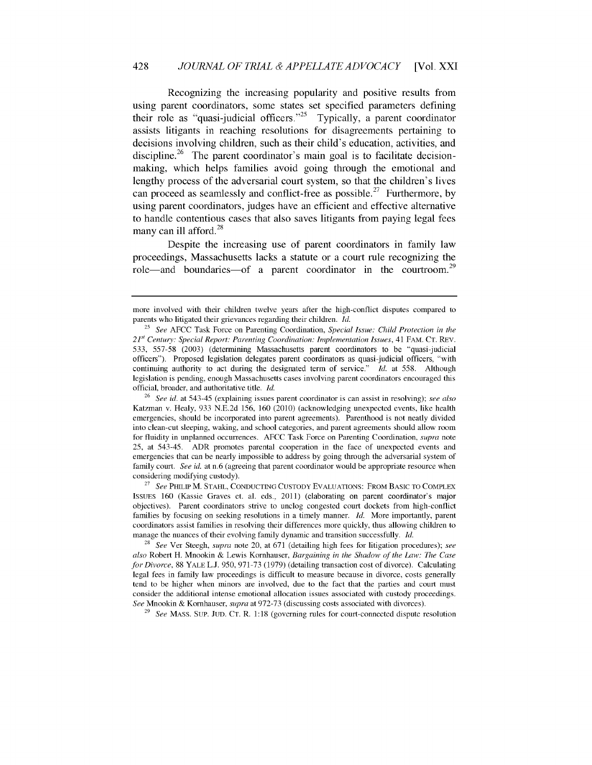### 428 *JOURNAL OF TRIAL & APPELLATE ADVOCACY* [Vol. XXI

Recognizing the increasing popularity and positive results from using parent coordinators, some states set specified parameters defining their role as "quasi-judicial officers."<sup>25</sup> Typically, a parent coordinator assists litigants in reaching resolutions for disagreements pertaining to decisions involving children, such as their child's education, activities, and discipline.<sup>26</sup> The parent coordinator's main goal is to facilitate decisionmaking, which helps families avoid going through the emotional and lengthy process of the adversarial court system, so that the children's lives can proceed as seamlessly and conflict-free as possible.<sup>27</sup> Furthermore, by using parent coordinators, judges have an efficient and effective alternative to handle contentious cases that also saves litigants from paying legal fees many can ill afford. $^{28}$ 

Despite the increasing use of parent coordinators in family law proceedings, Massachusetts lacks a statute or a court rule recognizing the role—and boundaries—of a parent coordinator in the courtroom.<sup>29</sup>

29 *See* MASS. SUP. JUD. CT. R. 1:18 (governing rules for court-connected dispute resolution

more involved with their children twelve years after the high-conflict disputes compared to parents who litigated their grievances regarding their children. Id.

<sup>&</sup>lt;sup>25</sup> See AFCC Task Force on Parenting Coordination, *Special Issue: Child Protection in the 21st* Century: *Special Report: Parenting Coordination: Implementation Issues,* 41 FAM. CT. REV. 533, 557-58 (2003) (determining Massachusetts parent coordinators to be "quasi-judicial officers"). Proposed legislation delegates parent coordinators as quasi-judicial officers, "with continuing authority to act during the designated term of service." Id. at 558. Although legislation is pending, enough Massachusetts cases involving parent coordinators encouraged this official, broader, and authoritative title. *Id.*

**<sup>26</sup>***See id.* at 543-45 (explaining issues parent coordinator is can assist in resolving); *see also* Katzman v. Healy, 933 N.E.2d 156, 160 (2010) (acknowledging unexpected events, like health emergencies, should be incorporated into parent agreements). Parenthood is not neatly divided into clean-cut sleeping, waking, and school categories, and parent agreements should allow room for fluidity in unplanned occurrences. AFCC Task Force on Parenting Coordination, *supra* note 25, at 543-45. ADR promotes parental cooperation in the face of unexpected events and emergencies that can be nearly impossible to address by going through the adversarial system of family court. *See id.* at n.6 (agreeing that parent coordinator would be appropriate resource when considering modifying custody).

<sup>27</sup>*See* PHILIP M. STAHL, CONDUCTING CUSTODY EVALUATIONS: FROM BASIC TO COMPLEX ISSUES 160 (Kassie Graves et. al. eds., 2011) (elaborating on parent coordinator's major objectives). Parent coordinators strive to unclog congested court dockets from high-conflict families by focusing on seeking resolutions in a timely manner. Id. More importantly, parent coordinators assist families in resolving their differences more quickly, thus allowing children to manage the nuances of their evolving family dynamic and transition successfully. Id.

<sup>28</sup>*See* Ver Steegh, *supra* note 20, at 671 (detailing high fees for litigation procedures); *see also* Robert H. Mnookin & Lewis Kornhauser, *Bargaining in the Shadow of the Law: The Case for Divorce,* 88 YALE L.J. 950, 971-73 (1979) (detailing transaction cost of divorce). Calculating legal fees in family law proceedings is difficult to measure because in divorce, costs generally tend to be higher when minors are involved, due to the fact that the parties and court must consider the additional intense emotional allocation issues associated with custody proceedings. *See* Mnookin & Kornhauser, *supra* at 972-73 (discussing costs associated with divorces).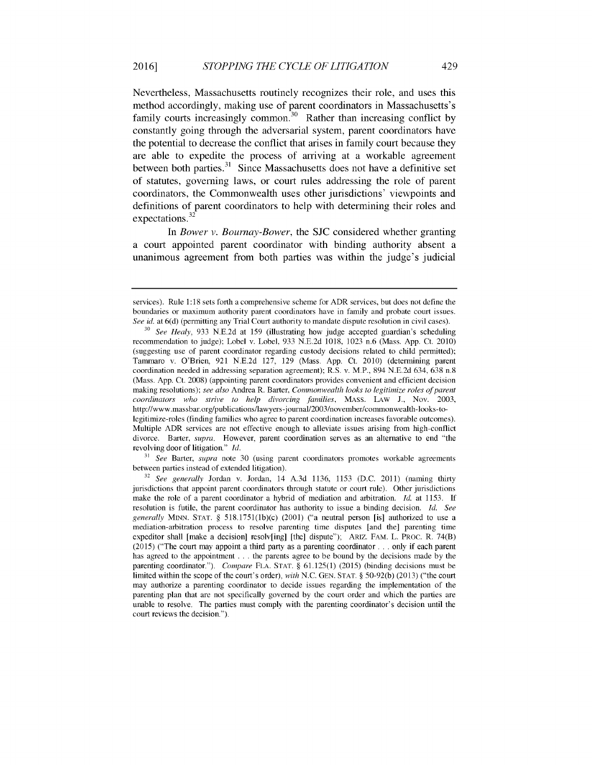Nevertheless, Massachusetts routinely recognizes their role, and uses this method accordingly, making use of parent coordinators in Massachusetts's family courts increasingly common.<sup>30</sup> Rather than increasing conflict by constantly going through the adversarial system, parent coordinators have the potential to decrease the conflict that arises in family court because they are able to expedite the process of arriving at a workable agreement between both parties. $31$  Since Massachusetts does not have a definitive set of statutes, governing laws, or court rules addressing the role of parent coordinators, the Commonwealth uses other jurisdictions' viewpoints and definitions of parent coordinators to help with determining their roles and expectations **.32**

In *Bower v. Bournay-Bower,* the SJC considered whether granting a court appointed parent coordinator with binding authority absent a unanimous agreement from both parties was within the judge's judicial

**<sup>31</sup>***See* Barter, *supra* note 30 (using parent coordinators promotes workable agreements between parties instead of extended litigation).

429

services). Rule 1:18 sets forth a comprehensive scheme for ADR services, but does not define the boundaries or maximum authority parent coordinators have in family and probate court issues. *See id.* at 6(d) (permitting any Trial Court authority to mandate dispute resolution in civil cases).

**<sup>30</sup>***See Healy,* 933 N.E.2d at 159 (illustrating how judge accepted guardian's scheduling recommendation to judge); Lobel v. Lobel, 933 N.E.2d 1018, 1023 n.6 (Mass. App. Ct. 2010) (suggesting use of parent coordinator regarding custody decisions related to child permitted); Tammaro v. O'Brien, 921 N.E.2d 127, 129 (Mass. App. Ct. 2010) (determining parent coordination needed in addressing separation agreement); R.S. v. M.P., 894 N.E.2d 634, 638 n.8 (Mass. App. Ct. 2008) (appointing parent coordinators provides convenient and efficient decision making resolutions); *see also* Andrea R. Barter, *Commonwealth looks to legitimize roles of parent coordinators who strive to help divorcing families,* MASS. LAW J., Nov. 2003, http://www.massbar.org/publications/lawyers-journal/2003/november/commonwealth-looks-tolegitimize-roles (finding families who agree to parent coordination increases favorable outcomes). Multiple ADR services are not effective enough to alleviate issues arising from high-conflict divorce. Barter, *supra.* However, parent coordination serves as an alternative to end "the revolving door of litigation." *Id.*

**<sup>32</sup>***See generally* Jordan v. Jordan, 14 A.3d 1136, 1153 (D.C. 2011) (naming thirty jurisdictions that appoint parent coordinators through statute or court rule). Other jurisdictions make the role of a parent coordinator a hybrid of mediation and arbitration. *Id.* at 1153. If resolution is futile, the parent coordinator has authority to issue a binding decision. ld. *See generally* MINN. STAT. § 518.1751(lb)(c) (2001) ("a neutral person [is] authorized to use a mediation-arbitration process to resolve parenting time disputes [and the] parenting time expeditor shall [make a decision] resolv[ing] [the] dispute"); ARIZ. FAM. L. PROC. R. 74(B) (2015) ("The court may appoint a third party as a parenting coordinator.., only if each parent has agreed to the appointment . . . the parents agree to be bound by the decisions made by the parenting coordinator."). *Compare* FLA. STAT. § 61.125(1) (2015) (binding decisions must be limited within the scope of the court's order), *with* N.C. GEN. STAT. § 50-92(b) (2013) ("the court may authorize a parenting coordinator to decide issues regarding the implementation of the parenting plan that are not specifically governed by the court order and which the parties are unable to resolve. The parties must comply with the parenting coordinator's decision until the court reviews the decision.").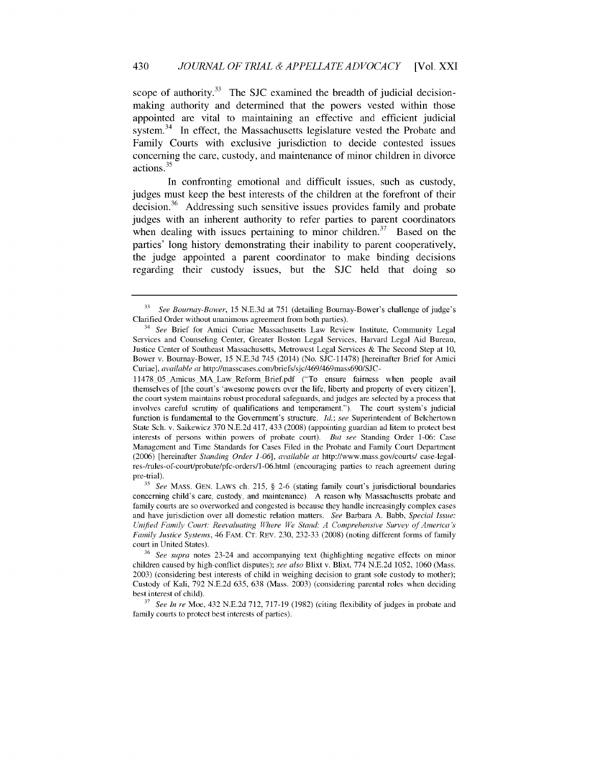scope of authority. $33$  The SJC examined the breadth of judicial decisionmaking authority and determined that the powers vested within those appointed are vital to maintaining an effective and efficient judicial system. $34$  In effect, the Massachusetts legislature vested the Probate and Family Courts with exclusive jurisdiction to decide contested issues concerning the care, custody, and maintenance of minor children in divorce actions.<sup>35</sup>

In confronting emotional and difficult issues, such as custody, judges must keep the best interests of the children at the forefront of their decision. $36$  Addressing such sensitive issues provides family and probate judges with an inherent authority to refer parties to parent coordinators when dealing with issues pertaining to minor children.<sup>37</sup> Based on the parties' long history demonstrating their inability to parent cooperatively, the judge appointed a parent coordinator to make binding decisions regarding their custody issues, but the SJC held that doing so

**<sup>33</sup>***See Bournay-Bower,* 15 N.E.3d at 751 (detailing Boumay-Bower's challenge of judge's Clarified Order without unanimous agreement from both parties).

<sup>34</sup>*See* Brief for Amici Curiae Massachusetts Law Review Institute, Community Legal Services and Counseling Center, Greater Boston Legal Services, Harvard Legal Aid Bureau, Justice Center of Southeast Massachusetts, Metrowest Legal Services & The Second Step at 10, Bower v. Bournay-Bower, 15 N.E.3d 745 (2014) (No. SJC-11478) [hereinafter Brief for Amici Curiae], *available at* http://masscases.com/briefs/sjc/469/469mass690/SJC-

<sup>11478 05</sup> Amicus MA Law Reform Brief.pdf ("To ensure fairness when people avail themselves of [the court's 'awesome powers over the life, liberty and property of every citizen'], the court system maintains robust procedural safeguards, and judges are selected by a process that involves careful scrutiny of qualifications and temperament."). The court system's judicial function is fundamental to the Government's structure. Id.; *see* Superintendent of Belchertown State Sch. v. Saikewicz 370 N.E.2d 417, 433 (2008) (appointing guardian ad litem to protect best interests of persons within powers of probate court). *But see* Standing Order 1-06: Case Management and Time Standards for Cases Filed in the Probate and Family Court Department (2006) [hereinafter *Standing Order 1-06], available at* http://www.mass.gov/courts/ case-legalres-/rules-of-court/probate/pfc-orders/1-06.html (encouraging parties to reach agreement during pre-trial).

**<sup>35</sup>***See* MASS. GEN. LAWS ch. 215, § **2-6** (stating family court's jurisdictional boundaries concerning child's care, custody, and maintenance). A reason why Massachusetts probate and family courts are so overworked and congested is because they handle increasingly complex cases and have jurisdiction over all domestic relation matters. *See* Barbara A. Babb, *Special Issue: Unified Family Court: Reevaluating Where We Stand: A Comprehensive Survey of America's Family Justice Systems,* 46 FAM. **CT.** REv. 230, 232-33 (2008) (noting different forms of family court in United States).

**<sup>36</sup>***See supra* notes 23-24 and accompanying text (highlighting negative effects on minor children caused by high-conflict disputes); *see also* Blixt v. Blixt, 774 N.E.2d 1052, 1060 (Mass. 2003) (considering best interests of child in weighing decision to grant sole custody to mother); Custody of Kali, 792 N.E.2d 635, 638 (Mass. 2003) (considering parental roles when deciding best interest of child).

**<sup>37</sup>***See In re* Moe, 432 N.E.2d 712, 717-19 (1982) (citing flexibility of judges in probate and family courts to protect best interests of parties).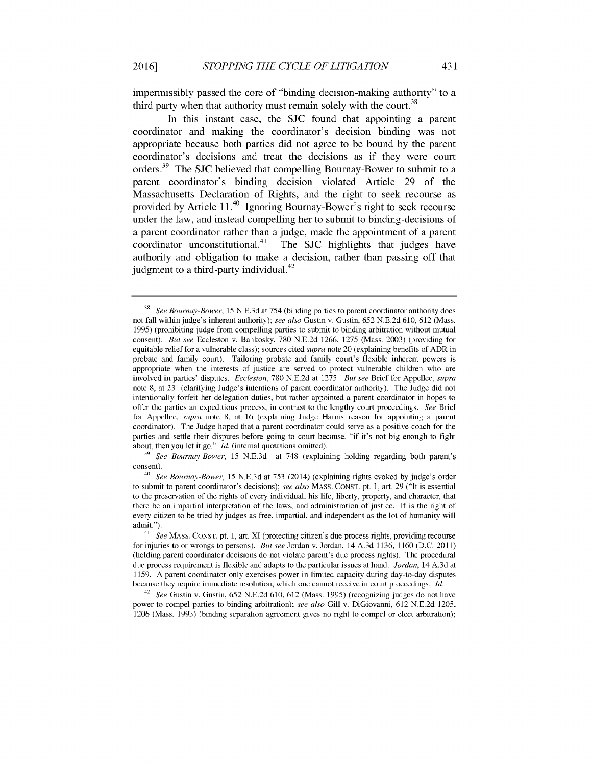impermissibly passed the core of "binding decision-making authority" to a third party when that authority must remain solely with the court.<sup>38</sup>

In this instant case, the SJC found that appointing a parent coordinator and making the coordinator's decision binding was not appropriate because both parties did not agree to be bound by the parent coordinator's decisions and treat the decisions as if they were court orders.<sup>39</sup> The SJC believed that compelling Bournay-Bower to submit to a parent coordinator's binding decision violated Article 29 of the Massachusetts Declaration of Rights, and the right to seek recourse as provided by Article 11.<sup>40</sup> Ignoring Bournay-Bower's right to seek recourse under the law, and instead compelling her to submit to binding-decisions of a parent coordinator rather than a judge, made the appointment of a parent coordinator unconstitutional.<sup>41</sup> The SJC highlights that judges have authority and obligation to make a decision, rather than passing off that judgment to a third-party individual. $42$ 

<sup>42</sup>*See* Gustin v. Gustin, 652 N.E.2d 610, 612 (Mass. 1995) (recognizing judges do not have power to compel parties to binding arbitration); *see also* Gill v. DiGiovanni, 612 N.E.2d 1205, 1206 (Mass. 1993) (binding separation agreement gives no right to compel or elect arbitration);

**<sup>38</sup>***See Bournay-Bower,* 15 N.E.3d at 754 (binding parties to parent coordinator authority does not fall within judge's inherent authority); *see also* Gustin v. Gustin, 652 N.E.2d 610, 612 (Mass. 1995) (prohibiting judge from compelling parties to submit to binding arbitration without mutual consent). *But see* Eccleston v. Bankosky, 780 N.E.2d 1266, 1275 (Mass. 2003) (providing for equitable relief for a vulnerable class); sources cited *supra* note 20 (explaining benefits of ADR in probate and family court). Tailoring probate and family court's flexible inherent powers is appropriate when the interests of justice are served to protect vulnerable children who are involved in parties' disputes. *Eccleston,* 780 N.E.2d at 1275. *But see* Brief for Appellee, *supra* note 8, at 23 (clarifying Judge's intentions of parent coordinator authority). The Judge did not intentionally forfeit her delegation duties, but rather appointed a parent coordinator in hopes to offer the parties an expeditious process, in contrast to the lengthy court proceedings. *See* Brief for Appellee, *supra* note 8, at 16 (explaining Judge Harms reason for appointing a parent coordinator). The Judge hoped that a parent coordinator could serve as a positive coach for the parties and settle their disputes before going to court because, "if it's not big enough to fight about, then you let it go." *ld.* (internal quotations omitted).

**<sup>39</sup>***See Bournay-Bower,* 15 N.E.3d at 748 (explaining holding regarding both parent's consent).

**<sup>40</sup>***See Bournay-Bower,* 15 N.E.3d at **753** (2014) (explaining rights evoked by judge's order to submit to parent coordinator's decisions); *see also* **MASS.** CONST. pt. 1, art. 29 ("It is essential to the preservation of the rights of every individual, his life, liberty, property, and character, that there be an impartial interpretation of the laws, and administration of justice. If is the right of every citizen to be tried by judges as free, impartial, and independent as the lot of humanity will admit.").

*<sup>41</sup>See* MASS. CONST. pt. 1, art. XI (protecting citizen's due process rights, providing recourse for injuries to or wrongs to persons). *But see* Jordan v. Jordan, 14 A.3d 1136, 1160 (D.C. 2011) (holding parent coordinator decisions do not violate parent's due process rights). The procedural due process requirement is flexible and adapts to the particular issues at hand. *Jordan,* 14 A.3d at 1159. A parent coordinator only exercises power in limited capacity during day-to-day disputes because they require immediate resolution, which one cannot receive in court proceedings. *Id.*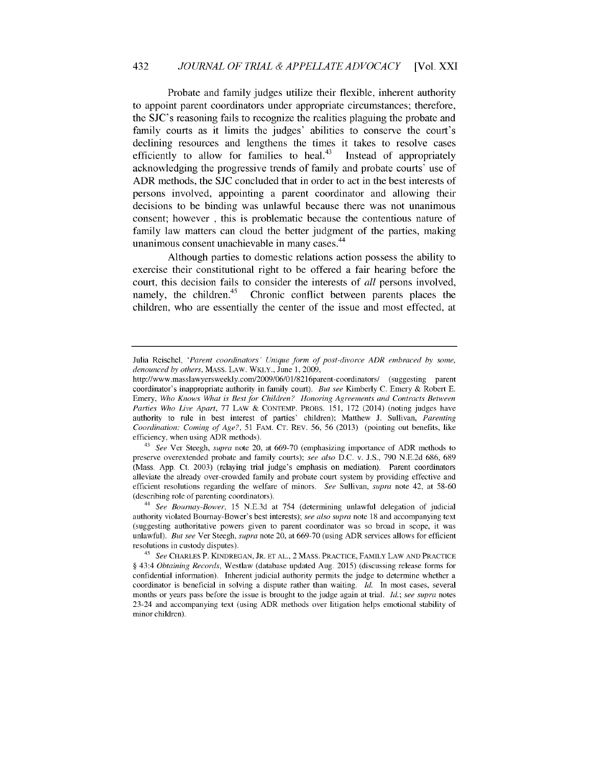### 432 *JOURNAL OF TRIAL & APPELLATE ADVOCACY* [Vol. XXI

Probate and family judges utilize their flexible, inherent authority to appoint parent coordinators under appropriate circumstances; therefore, the SJC's reasoning fails to recognize the realities plaguing the probate and family courts as it limits the judges' abilities to conserve the court's declining resources and lengthens the times it takes to resolve cases efficiently to allow for families to heal. $43$  Instead of appropriately acknowledging the progressive trends of family and probate courts' use of ADR methods, the SJC concluded that in order to act in the best interests of persons involved, appointing a parent coordinator and allowing their decisions to be binding was unlawful because there was not unanimous consent; however , this is problematic because the contentious nature of family law matters can cloud the better judgment of the parties, making unanimous consent unachievable in many cases.<sup>44</sup>

Although parties to domestic relations action possess the ability to exercise their constitutional right to be offered a fair hearing before the court, this decision fails to consider the interests of *all* persons involved, namely, the children. $45$  Chronic conflict between parents places the children, who are essentially the center of the issue and most effected, at

*<sup>43</sup>See* Ver Steegh, *supra* note 20, at 669-70 (emphasizing importance of ADR methods to preserve overextended probate and family courts); *see also* D.C. v. J.S., 790 N.E.2d 686, 689 (Mass. App. Ct. 2003) (relaying trial judge's emphasis on mediation). Parent coordinators alleviate the already over-crowded family and probate court system by providing effective and efficient resolutions regarding the welfare of minors. *See* Sullivan, *supra* note 42, at 58-60 (describing role of parenting coordinators).

*<sup>44</sup>See Bournay-Bower,* 15 N.E.3d at 754 (determining unlawful delegation of judicial authority violated Bournay-Bower's best interests); *see also supra* note 18 and accompanying text (suggesting authoritative powers given to parent coordinator was so broad in scope, it was unlawful). *But see* Ver Steegh, *supra* note 20, at 669-70 (using ADR services allows for efficient resolutions in custody disputes).

Julia Reischel, *'Parent coordinators' Unique form of post-divorce ADR embraced by some, denounced by others,* MASS. LAW. WKLY., June 1, 2009,

http://www.masslawyersweekly.com/2009/06/01/8216parent-coordinators/ (suggesting parent coordinator's inappropriate authority in family court). *But see* Kimberly C. Emery & Robert **E.** Emery, *Who Knows What is Best for Children? Honoring Agreements and Contracts Between Parties Who Live Apart, 77 LAW & CONTEMP. PROBS. 151, 172 (2014) (noting judges have* authority to rule in best interest of parties' children); Matthew J. Sullivan, *Parenting Coordination: Coming of Age?,* 51 FAM. **CT.** REv. 56, 56 (2013) (pointing out benefits, like efficiency, when using ADR methods).

*<sup>45</sup>See* CHARLES P. KINDREGAN, JR. **ET** AL., 2 MASS. PRACTICE, FAMILY LAW AND PRACTICE § 43:4 *Obtaining Records,* Westlaw (database updated Aug. 2015) (discussing release forms for confidential information). Inherent judicial authority permits the judge to determine whether a coordinator is beneficial in solving a dispute rather than waiting. *Id.* In most cases, several months or years pass before the issue is brought to the judge again at trial. *Id.; see supra* notes 23-24 and accompanying text (using ADR methods over litigation helps emotional stability of minor children).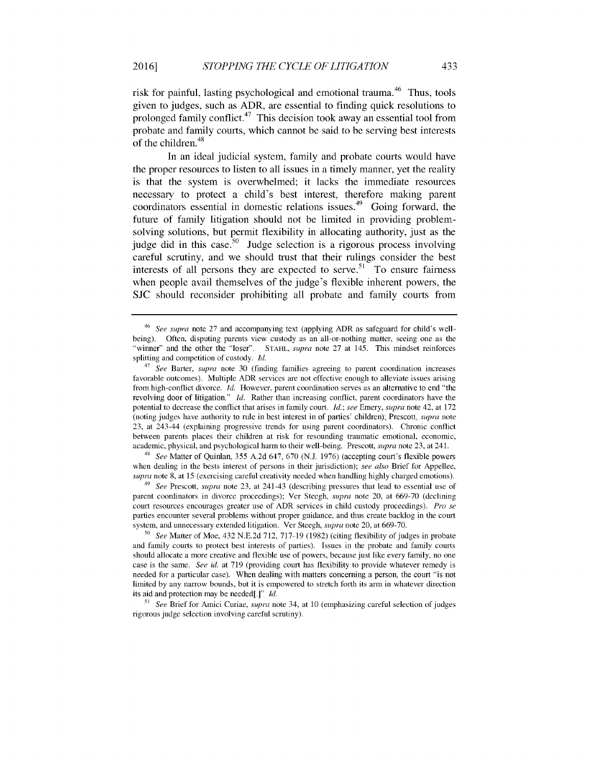risk for painful, lasting psychological and emotional trauma.<sup>46</sup> Thus, tools given to judges, such as ADR, are essential to finding quick resolutions to prolonged family conflict.<sup> $47$ </sup> This decision took away an essential tool from probate and family courts, which cannot be said to be serving best interests of the children.<sup>48</sup>

In an ideal judicial system, family and probate courts would have the proper resources to listen to all issues in a timely manner, yet the reality is that the system is overwhelmed; it lacks the immediate resources necessary to protect a child's best interest, therefore making parent coordinators essential in domestic relations issues.<sup> $49$ </sup> Going forward, the future of family litigation should not be limited in providing problemsolving solutions, but permit flexibility in allocating authority, just as the judge did in this case.<sup>50</sup> Judge selection is a rigorous process involving careful scrutiny, and we should trust that their rulings consider the best interests of all persons they are expected to serve.<sup>51</sup> To ensure fairness when people avail themselves of the judge's flexible inherent powers, the SJC should reconsider prohibiting all probate and family courts from

48 *See* Matter of Quinlan, 355 A.2d 647, 670 (N.J. 1976) (accepting court's flexible powers when dealing in the bests interest of persons in their jurisdiction); *see also* Brief for Appellee, *supra* note 8, at 15 (exercising careful creativity needed when handling highly charged emotions).

*49 See* Prescott, *supra* note 23, at 241-43 (describing pressures that lead to essential use of parent coordinators in divorce proceedings); Ver Steegh, *supra* note 20, at 669-70 (declining court resources encourages greater use of ADR services in child custody proceedings). *Pro se* parties encounter several problems without proper guidance, and thus create backlog in the court system, and unnecessary extended litigation. Ver Steegh, *supra* note 20, at 669-70.

*<sup>50</sup>See* Matter of Moe, 432 N.E.2d 712, 717-19 (1982) (citing flexibility of judges in probate and family courts to protect best interests of parties). Issues in the probate and family courts should allocate a more creative and flexible use of powers, because just like every family, no one case is the same. *See id.* at 719 (providing court has flexibility to provide whatever remedy is needed for a particular case). When dealing with matters concerning a person, the court "is not limited by any narrow bounds, but it is empowered to stretch forth its arm in whatever direction its aid and protection may be needed[.]" *ld.*

51 *See* Brief for Amici Curiae, *supra* note 34, at 10 (emphasizing careful selection of judges rigorous judge selection involving careful scrutiny).

<sup>46</sup> *See supra* note 27 and accompanying text (applying ADR as safeguard for child's wellbeing). Often, disputing parents view custody as an all-or-nothing matter, seeing one as the "winner" and the other the "loser". STAHL, *supra* note 27 at 145. This mindset reinforces splitting and competition of custody. *Id.*

*<sup>47</sup> See* Barter, *supra* note 30 (finding families agreeing to parent coordination increases favorable outcomes). Multiple ADR services are not effective enough to alleviate issues arising from high-conflict divorce. *Id.* However, parent coordination serves as an alternative to end "the revolving door of litigation." *Id.* Rather than increasing conflict, parent coordinators have the potential to decrease the conflict that arises in family court. *Id.; see* Emery, *supra* note 42, at 172 (noting judges have authority to rule in best interest in of parties' children); Prescott, *supra* note 23, at 243-44 (explaining progressive trends for using parent coordinators). Chronic conflict between parents places their children at risk for resounding traumatic emotional, economic, academic, physical, and psychological harm to their well-being. Prescott, *supra* note 23, at 241.